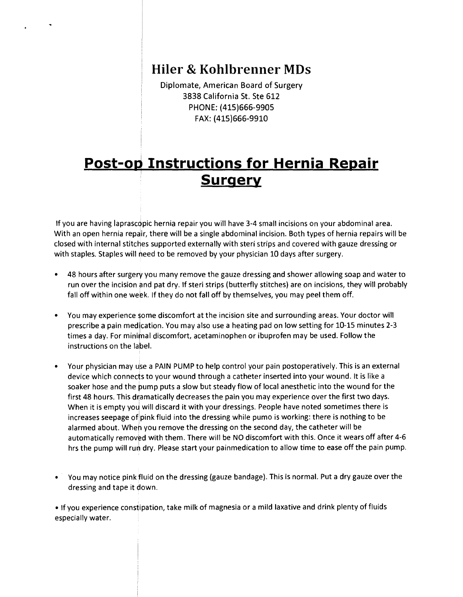## **Hiler & Kohibrenner MDs**

Diplomate, American Board of Surgery 3838 California St. Ste 612 PHONE: (415)666-9905 FAX: (415)666-9910

## **Post-op Instructions for Hernia Repair Surgery**

If you are having laprascopic hernia repair you will have 3-4 small incisions on your abdominal area. With an open hernia repair, there will be a single abdominal incision. Both types of hernia repairs will be closed with internal stitches supported externally with steri strips and covered with gauze dressing or with staples. Staples will need to be removed by your physician 10 days after surgery.

- 48 hours after surgery you many remove the gauze dressing and shower allowing soap and water to run over the incision and pat dry. If steri strips (butterfly stitches) are on incisions, they will probably fall off within one week. If they do not fall off by themselves, you may peel them off.
- You may experience some discomfort at the incision site and surrounding areas. Your doctor will prescribe a pain medication. You may also use a heating pad on low setting for 10-15 minutes 2-3 times a day. For minimal discomfort, acetaminophen or ibuprofen may be used. Follow the instructions on the label.
- Your physician may use a PAIN PUMP to help control your pain postoperatively. This is an external device which connects to your wound through a catheter inserted into your wound. It is like a soaker hose and the pump puts a slow but steady flow of local anesthetic into the wound for the first 48 hours. This dramatically decreases the pain you may experience over the first two days. When it is empty you will discard it with your dressings. People have noted sometimes there is increases seepage of pink fluid into the dressing while pumo is working: there is nothing to be alarmed about. When you remove the dressing on the second day, the catheter will be automatically removed with them. There will be NO discomfort with this. Once it wears off after 4-6 hrs the pump will run dry. Please start your painmedication to allow time to ease off the pain pump.
- You may notice pink fluid on the dressing (gauze bandage). This is normal. Put a dry gauze over the dressing and tape it down.

• If you experience constipation, take milk of magnesia or a mild laxative and drink plenty of fluids especially water.